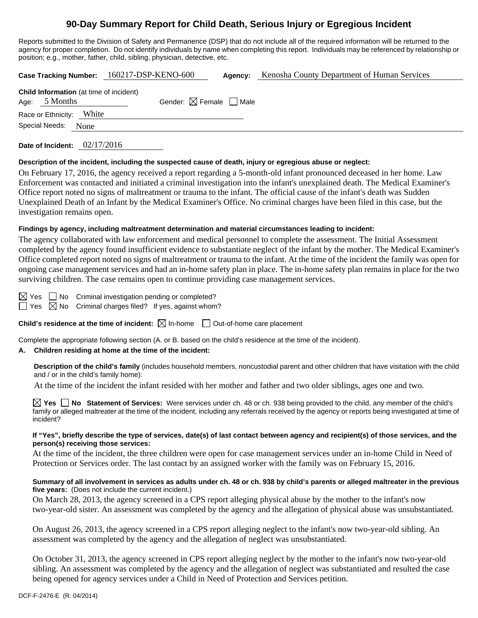# **90-Day Summary Report for Child Death, Serious Injury or Egregious Incident**

Reports submitted to the Division of Safety and Permanence (DSP) that do not include all of the required information will be returned to the agency for proper completion. Do not identify individuals by name when completing this report. Individuals may be referenced by relationship or position; e.g., mother, father, child, sibling, physician, detective, etc.

| <b>Case Tracking Number:</b>                                      |       | 160217-DSP-KENO-600                    | Agency: | Kenosha County Department of Human Services |
|-------------------------------------------------------------------|-------|----------------------------------------|---------|---------------------------------------------|
| <b>Child Information</b> (at time of incident)<br>Age: $5$ Months |       | Gender: $\boxtimes$ Female $\Box$ Male |         |                                             |
| Race or Ethnicity:                                                | White |                                        |         |                                             |
| Special Needs:                                                    | None  |                                        |         |                                             |
|                                                                   |       |                                        |         |                                             |

**Date of Incident:** 02/17/2016

### **Description of the incident, including the suspected cause of death, injury or egregious abuse or neglect:**

On February 17, 2016, the agency received a report regarding a 5-month-old infant pronounced deceased in her home. Law Enforcement was contacted and initiated a criminal investigation into the infant's unexplained death. The Medical Examiner's Office report noted no signs of maltreatment or trauma to the infant. The official cause of the infant's death was Sudden Unexplained Death of an Infant by the Medical Examiner's Office. No criminal charges have been filed in this case, but the investigation remains open.

### **Findings by agency, including maltreatment determination and material circumstances leading to incident:**

The agency collaborated with law enforcement and medical personnel to complete the assessment. The Initial Assessment completed by the agency found insufficient evidence to substantiate neglect of the infant by the mother. The Medical Examiner's Office completed report noted no signs of maltreatment or trauma to the infant. At the time of the incident the family was open for ongoing case management services and had an in-home safety plan in place. The in-home safety plan remains in place for the two surviving children. The case remains open to continue providing case management services.

 $\boxtimes$  Yes  $\Box$  No Criminal investigation pending or completed?

 $\Box$  Yes  $\boxtimes$  No Criminal charges filed? If yes, against whom?

**Child's residence at the time of incident:**  $\boxtimes$  In-home  $\Box$  Out-of-home care placement

Complete the appropriate following section (A. or B. based on the child's residence at the time of the incident).

## **A. Children residing at home at the time of the incident:**

**Description of the child's family** (includes household members, noncustodial parent and other children that have visitation with the child and / or in the child's family home):

At the time of the incident the infant resided with her mother and father and two older siblings, ages one and two.

**Yes No Statement of Services:** Were services under ch. 48 or ch. 938 being provided to the child, any member of the child's family or alleged maltreater at the time of the incident, including any referrals received by the agency or reports being investigated at time of incident?

### **If "Yes", briefly describe the type of services, date(s) of last contact between agency and recipient(s) of those services, and the person(s) receiving those services:**

At the time of the incident, the three children were open for case management services under an in-home Child in Need of Protection or Services order. The last contact by an assigned worker with the family was on February 15, 2016.

## **Summary of all involvement in services as adults under ch. 48 or ch. 938 by child's parents or alleged maltreater in the previous five years:** (Does not include the current incident.)

On March 28, 2013, the agency screened in a CPS report alleging physical abuse by the mother to the infant's now two-year-old sister. An assessment was completed by the agency and the allegation of physical abuse was unsubstantiated.

On August 26, 2013, the agency screened in a CPS report alleging neglect to the infant's now two-year-old sibling. An assessment was completed by the agency and the allegation of neglect was unsubstantiated.

On October 31, 2013, the agency screened in CPS report alleging neglect by the mother to the infant's now two-year-old sibling. An assessment was completed by the agency and the allegation of neglect was substantiated and resulted the case being opened for agency services under a Child in Need of Protection and Services petition.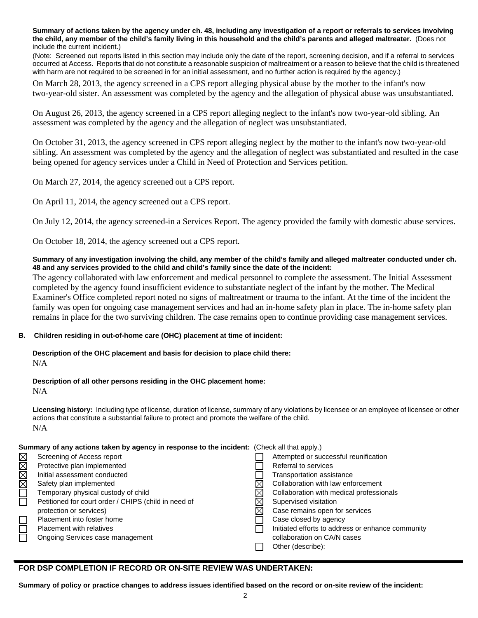**Summary of actions taken by the agency under ch. 48, including any investigation of a report or referrals to services involving the child, any member of the child's family living in this household and the child's parents and alleged maltreater.** (Does not include the current incident.)

(Note: Screened out reports listed in this section may include only the date of the report, screening decision, and if a referral to services occurred at Access. Reports that do not constitute a reasonable suspicion of maltreatment or a reason to believe that the child is threatened with harm are not required to be screened in for an initial assessment, and no further action is required by the agency.)

On March 28, 2013, the agency screened in a CPS report alleging physical abuse by the mother to the infant's now two-year-old sister. An assessment was completed by the agency and the allegation of physical abuse was unsubstantiated.

On August 26, 2013, the agency screened in a CPS report alleging neglect to the infant's now two-year-old sibling. An assessment was completed by the agency and the allegation of neglect was unsubstantiated.

On October 31, 2013, the agency screened in CPS report alleging neglect by the mother to the infant's now two-year-old sibling. An assessment was completed by the agency and the allegation of neglect was substantiated and resulted in the case being opened for agency services under a Child in Need of Protection and Services petition.

On March 27, 2014, the agency screened out a CPS report.

On April 11, 2014, the agency screened out a CPS report.

On July 12, 2014, the agency screened-in a Services Report. The agency provided the family with domestic abuse services.

On October 18, 2014, the agency screened out a CPS report.

### **Summary of any investigation involving the child, any member of the child's family and alleged maltreater conducted under ch. 48 and any services provided to the child and child's family since the date of the incident:**

The agency collaborated with law enforcement and medical personnel to complete the assessment. The Initial Assessment completed by the agency found insufficient evidence to substantiate neglect of the infant by the mother. The Medical Examiner's Office completed report noted no signs of maltreatment or trauma to the infant. At the time of the incident the family was open for ongoing case management services and had an in-home safety plan in place. The in-home safety plan remains in place for the two surviving children. The case remains open to continue providing case management services.

### **B. Children residing in out-of-home care (OHC) placement at time of incident:**

**Description of the OHC placement and basis for decision to place child there:**   $N/A$ 

#### **Description of all other persons residing in the OHC placement home:**

N/A

**Licensing history:** Including type of license, duration of license, summary of any violations by licensee or an employee of licensee or other actions that constitute a substantial failure to protect and promote the welfare of the child. N/A

### **Summary of any actions taken by agency in response to the incident:** (Check all that apply.)

| $\boxtimes$ | Screening of Access report                           | Attempted or successful reunification             |
|-------------|------------------------------------------------------|---------------------------------------------------|
| $\boxtimes$ | Protective plan implemented                          | Referral to services                              |
| <b>M</b>    | Initial assessment conducted                         | Transportation assistance                         |
|             | Safety plan implemented                              | Collaboration with law enforcement                |
| $\Box$      | Temporary physical custody of child                  | Collaboration with medical professionals          |
|             | Petitioned for court order / CHIPS (child in need of | Supervised visitation                             |
|             | protection or services)                              | Case remains open for services                    |
|             | Placement into foster home                           | Case closed by agency                             |
|             | Placement with relatives                             | Initiated efforts to address or enhance community |
|             | Ongoing Services case management                     | collaboration on CA/N cases                       |
|             |                                                      | Other (describe):                                 |

## **FOR DSP COMPLETION IF RECORD OR ON-SITE REVIEW WAS UNDERTAKEN:**

**Summary of policy or practice changes to address issues identified based on the record or on-site review of the incident:**